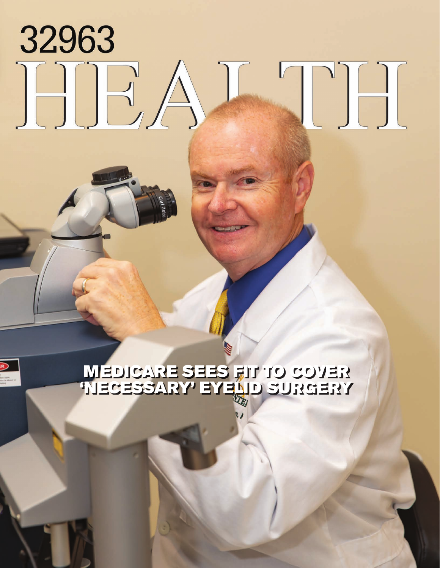## 32963 EA